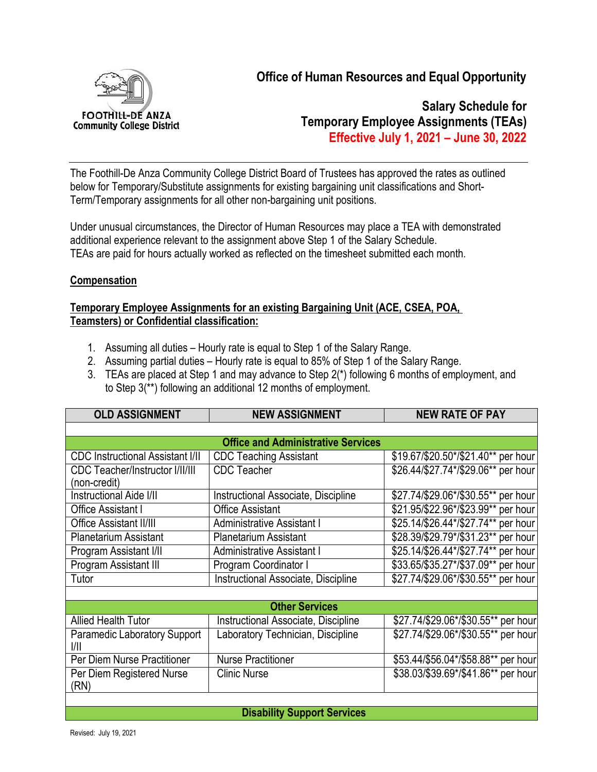

**Office of Human Resources and Equal Opportunity**

**Salary Schedule for Temporary Employee Assignments (TEAs) Effective July 1, 2021 – June 30, 2022**

The Foothill-De Anza Community College District Board of Trustees has approved the rates as outlined below for Temporary/Substitute assignments for existing bargaining unit classifications and Short-Term/Temporary assignments for all other non-bargaining unit positions.

Under unusual circumstances, the Director of Human Resources may place a TEA with demonstrated additional experience relevant to the assignment above Step 1 of the Salary Schedule. TEAs are paid for hours actually worked as reflected on the timesheet submitted each month.

#### **Compensation**

#### **Temporary Employee Assignments for an existing Bargaining Unit (ACE, CSEA, POA, Teamsters) or Confidential classification:**

- 1. Assuming all duties Hourly rate is equal to Step 1 of the Salary Range.
- 2. Assuming partial duties Hourly rate is equal to 85% of Step 1 of the Salary Range.
- 3. TEAs are placed at Step 1 and may advance to Step 2(\*) following 6 months of employment, and to Step 3(\*\*) following an additional 12 months of employment.

| <b>OLD ASSIGNMENT</b>                                  | <b>NEW ASSIGNMENT</b>                      | <b>NEW RATE OF PAY</b>              |  |
|--------------------------------------------------------|--------------------------------------------|-------------------------------------|--|
|                                                        |                                            |                                     |  |
| <b>Office and Administrative Services</b>              |                                            |                                     |  |
| <b>CDC Instructional Assistant I/II</b>                | <b>CDC Teaching Assistant</b>              | \$19.67/\$20.50*/\$21.40** per hour |  |
| <b>CDC Teacher/Instructor I/II/III</b><br>(non-credit) | <b>CDC</b> Teacher                         | \$26.44/\$27.74*/\$29.06** per hour |  |
| <b>Instructional Aide I/II</b>                         | <b>Instructional Associate, Discipline</b> | \$27.74/\$29.06*/\$30.55** per hour |  |
| Office Assistant I                                     | <b>Office Assistant</b>                    | \$21.95/\$22.96*/\$23.99** per hour |  |
| Office Assistant II/III                                | <b>Administrative Assistant I</b>          | \$25.14/\$26.44*/\$27.74** per hour |  |
| <b>Planetarium Assistant</b>                           | <b>Planetarium Assistant</b>               | \$28.39/\$29.79*/\$31.23** per hour |  |
| Program Assistant I/II                                 | <b>Administrative Assistant I</b>          | \$25.14/\$26.44*/\$27.74** per hour |  |
| Program Assistant III                                  | Program Coordinator I                      | \$33.65/\$35.27*/\$37.09** per hour |  |
| Tutor                                                  | Instructional Associate, Discipline        | \$27.74/\$29.06*/\$30.55** per hour |  |
|                                                        |                                            |                                     |  |
| <b>Other Services</b>                                  |                                            |                                     |  |
| <b>Allied Health Tutor</b>                             | Instructional Associate, Discipline        | \$27.74/\$29.06*/\$30.55** per hour |  |
| <b>Paramedic Laboratory Support</b><br>VII.            | Laboratory Technician, Discipline          | \$27.74/\$29.06*/\$30.55** per hour |  |
| Per Diem Nurse Practitioner                            | <b>Nurse Practitioner</b>                  | \$53.44/\$56.04*/\$58.88** per hour |  |
| Per Diem Registered Nurse<br>(RN)                      | <b>Clinic Nurse</b>                        | \$38.03/\$39.69*/\$41.86** per hour |  |
|                                                        |                                            |                                     |  |
| Dicability Cunnart Canvigne                            |                                            |                                     |  |

**Disability Support Services**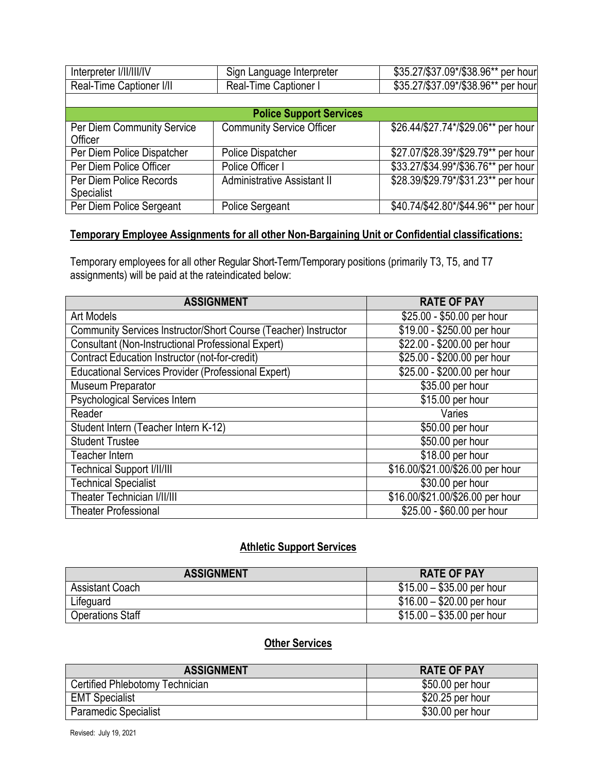| Interpreter I/II/III/IV                      | Sign Language Interpreter          | \$35.27/\$37.09*/\$38.96** per hour |
|----------------------------------------------|------------------------------------|-------------------------------------|
| Real-Time Captioner I/II                     | Real-Time Captioner I              | \$35.27/\$37.09*/\$38.96** per hour |
|                                              |                                    |                                     |
| <b>Police Support Services</b>               |                                    |                                     |
| Per Diem Community Service<br>Officer        | <b>Community Service Officer</b>   | \$26.44/\$27.74*/\$29.06** per hour |
| Per Diem Police Dispatcher                   | Police Dispatcher                  | \$27.07/\$28.39*/\$29.79** per hour |
| Per Diem Police Officer                      | Police Officer I                   | \$33.27/\$34.99*/\$36.76** per hour |
| Per Diem Police Records<br><b>Specialist</b> | <b>Administrative Assistant II</b> | \$28.39/\$29.79*/\$31.23** per hour |
| Per Diem Police Sergeant                     | <b>Police Sergeant</b>             | \$40.74/\$42.80*/\$44.96** per hour |

## **Temporary Employee Assignments for all other Non-Bargaining Unit or Confidential classifications:**

Temporary employees for all other Regular Short-Term/Temporary positions (primarily T3, T5, and T7 assignments) will be paid at the rateindicated below:

| <b>ASSIGNMENT</b>                                               | <b>RATE OF PAY</b>               |
|-----------------------------------------------------------------|----------------------------------|
| <b>Art Models</b>                                               | \$25.00 - \$50.00 per hour       |
| Community Services Instructor/Short Course (Teacher) Instructor | \$19.00 - \$250.00 per hour      |
| Consultant (Non-Instructional Professional Expert)              | \$22.00 - \$200.00 per hour      |
| Contract Education Instructor (not-for-credit)                  | \$25.00 - \$200.00 per hour      |
| <b>Educational Services Provider (Professional Expert)</b>      | \$25.00 - \$200.00 per hour      |
| Museum Preparator                                               | \$35.00 per hour                 |
| Psychological Services Intern                                   | \$15.00 per hour                 |
| Reader                                                          | Varies                           |
| Student Intern (Teacher Intern K-12)                            | \$50.00 per hour                 |
| <b>Student Trustee</b>                                          | \$50.00 per hour                 |
| <b>Teacher Intern</b>                                           | \$18.00 per hour                 |
| <b>Technical Support I/II/III</b>                               | \$16.00/\$21.00/\$26.00 per hour |
| <b>Technical Specialist</b>                                     | \$30.00 per hour                 |
| <b>Theater Technician I/II/III</b>                              | \$16.00/\$21.00/\$26.00 per hour |
| <b>Theater Professional</b>                                     | \$25.00 - \$60.00 per hour       |

## **Athletic Support Services**

| <b>ASSIGNMENT</b>       | <b>RATE OF PAY</b>         |
|-------------------------|----------------------------|
| <b>Assistant Coach</b>  | $$15.00 - $35.00$ per hour |
| Lifeguard               | $$16.00 - $20.00$ per hour |
| <b>Operations Staff</b> | $$15.00 - $35.00$ per hour |

# **Other Services**

| <b>ASSIGNMENT</b>               | <b>RATE OF PAY</b> |
|---------------------------------|--------------------|
| Certified Phlebotomy Technician | \$50.00 per hour   |
| <b>EMT Specialist</b>           | \$20.25 per hour   |
| <b>Paramedic Specialist</b>     | \$30.00 per hour   |